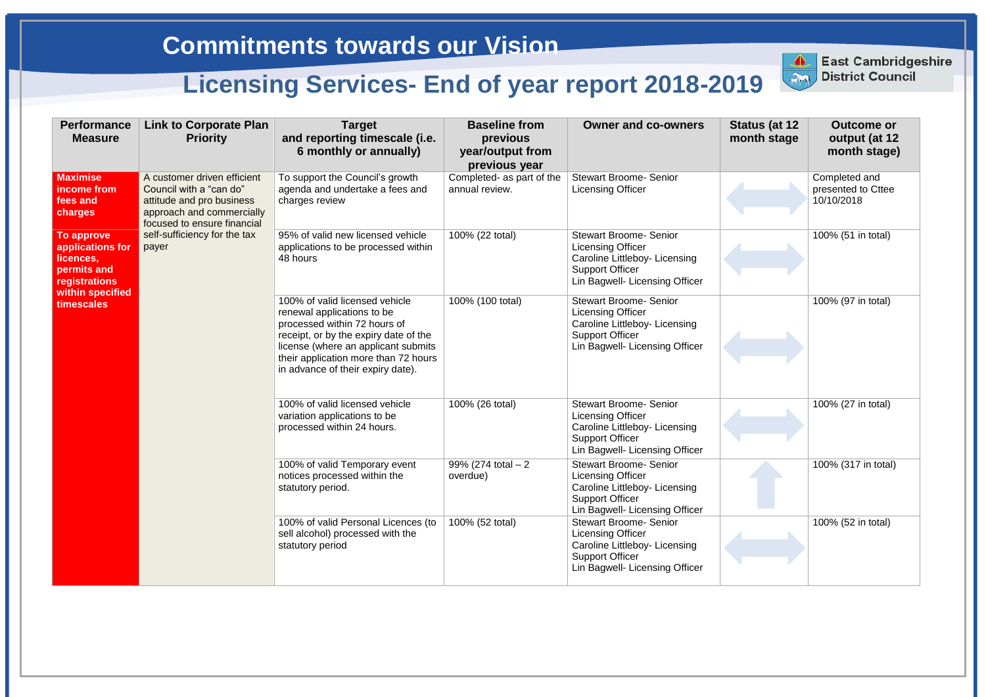| <b>Performance</b><br><b>Measure</b>                                                                          | <b>Link to Corporate Plan</b><br><b>Priority</b>                                                                                                                                         | <b>Target</b><br>and reporting timescale (i.e.<br>6 monthly or annually)                                                                                                                                                                                  | <b>Baseline from</b><br>previous<br>year/output from<br>previous year | <b>Owner and co-owners</b>                                                                                                                             | Status (at 12<br>month stage | <b>Outcome or</b><br>output (at 12<br>month stage) |
|---------------------------------------------------------------------------------------------------------------|------------------------------------------------------------------------------------------------------------------------------------------------------------------------------------------|-----------------------------------------------------------------------------------------------------------------------------------------------------------------------------------------------------------------------------------------------------------|-----------------------------------------------------------------------|--------------------------------------------------------------------------------------------------------------------------------------------------------|------------------------------|----------------------------------------------------|
| <b>Maximise</b><br>income from<br>fees and<br>charges                                                         | A customer driven efficient<br>Council with a "can do"<br>attitude and pro business<br>approach and commercially<br>focused to ensure financial<br>self-sufficiency for the tax<br>payer | To support the Council's growth<br>agenda and undertake a fees and<br>charges review                                                                                                                                                                      | Completed- as part of the<br>annual review.                           | <b>Stewart Broome- Senior</b><br><b>Licensing Officer</b>                                                                                              |                              | Completed and<br>presented to Cttee<br>10/10/2018  |
| To approve<br>applications for<br>licences,<br>permits and<br>registrations<br>within specified<br>timescales |                                                                                                                                                                                          | 95% of valid new licensed vehicle<br>applications to be processed within<br>48 hours                                                                                                                                                                      | 100% (22 total)                                                       | <b>Stewart Broome- Senior</b><br><b>Licensing Officer</b><br>Caroline Littleboy- Licensing<br><b>Support Officer</b><br>Lin Bagwell- Licensing Officer |                              | 100% (51 in total)                                 |
|                                                                                                               |                                                                                                                                                                                          | 100% of valid licensed vehicle<br>renewal applications to be<br>processed within 72 hours of<br>receipt, or by the expiry date of the<br>license (where an applicant submits<br>their application more than 72 hours<br>in advance of their expiry date). | 100% (100 total)                                                      | <b>Stewart Broome- Senior</b><br><b>Licensing Officer</b><br>Caroline Littleboy- Licensing<br><b>Support Officer</b><br>Lin Bagwell- Licensing Officer |                              | 100% (97 in total)                                 |
|                                                                                                               |                                                                                                                                                                                          | 100% of valid licensed vehicle<br>variation applications to be<br>processed within 24 hours.                                                                                                                                                              | 100% (26 total)                                                       | <b>Stewart Broome- Senior</b><br><b>Licensing Officer</b><br>Caroline Littleboy- Licensing<br><b>Support Officer</b><br>Lin Bagwell- Licensing Officer |                              | 100% (27 in total)                                 |
|                                                                                                               |                                                                                                                                                                                          | 100% of valid Temporary event<br>notices processed within the<br>statutory period.                                                                                                                                                                        | 99% (274 total $-2$<br>overdue)                                       | <b>Stewart Broome- Senior</b><br><b>Licensing Officer</b><br>Caroline Littleboy- Licensing<br><b>Support Officer</b><br>Lin Bagwell- Licensing Officer |                              | 100% (317 in total)                                |
|                                                                                                               |                                                                                                                                                                                          | 100% of valid Personal Licences (to<br>sell alcohol) processed with the<br>statutory period                                                                                                                                                               | 100% (52 total)                                                       | <b>Stewart Broome- Senior</b><br><b>Licensing Officer</b><br>Caroline Littleboy- Licensing<br><b>Support Officer</b><br>Lin Bagwell- Licensing Officer |                              | 100% (52 in total)                                 |



**East Cambridgeshire** East Cambridge

## **Commitments towards our Vision**

## **Licensing Services- End of year report 2018-2019**